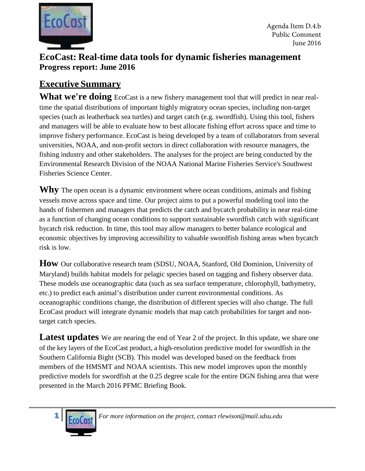

## **EcoCast: Real-time data tools for dynamic fisheries management Progress report: June 2016**

## **Executive Summary**

What we're doing EcoCast is a new fishery management tool that will predict in near realtime the spatial distributions of important highly migratory ocean species, including non-target species (such as leatherback sea turtles) and target catch (e.g. swordfish). Using this tool, fishers and managers will be able to evaluate how to best allocate fishing effort across space and time to improve fishery performance. EcoCast is being developed by a team of collaborators from several universities, NOAA, and non-profit sectors in direct collaboration with resource managers, the fishing industry and other stakeholders. The analyses for the project are being conducted by the Environmental Research Division of the NOAA National Marine Fisheries Service's Southwest Fisheries Science Center.

**Why** The open ocean is a dynamic environment where ocean conditions, animals and fishing vessels move across space and time. Our project aims to put a powerful modeling tool into the hands of fishermen and managers that predicts the catch and bycatch probability in near real-time as a function of changing ocean conditions to support sustainable swordfish catch with significant bycatch risk reduction. In time, this tool may allow managers to better balance ecological and economic objectives by improving accessibility to valuable swordfish fishing areas when bycatch risk is low.

**How** Our collaborative research team (SDSU, NOAA, Stanford, Old Dominion, University of Maryland) builds habitat models for pelagic species based on tagging and fishery observer data. These models use oceanographic data (such as sea surface temperature, chlorophyll, bathymetry, etc.) to predict each animal's distribution under current environmental conditions. As oceanographic conditions change, the distribution of different species will also change. The full EcoCast product will integrate dynamic models that map catch probabilities for target and nontarget catch species.

Latest updates We are nearing the end of Year 2 of the project. In this update, we share one of the key layers of the EcoCast product, a high-resolution predictive model for swordfish in the Southern California Bight (SCB). This model was developed based on the feedback from members of the HMSMT and NOAA scientists. This new model improves upon the monthly predictive models for swordfish at the 0.25 degree scale for the entire DGN fishing area that were presented in the March 2016 PFMC Briefing Book.



*For more information on the project, contact [rlewison@mail.sdsu.edu](mailto:rlewison@mail.sdsu.edu)*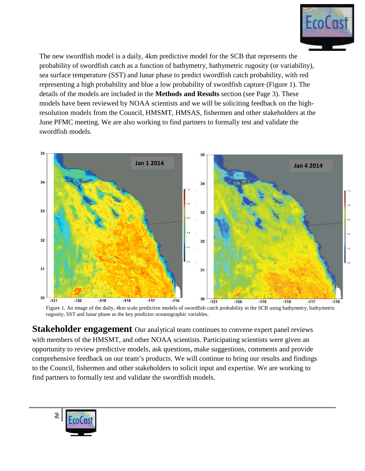

The new swordfish model is a daily, 4km predictive model for the SCB that represents the probability of swordfish catch as a function of bathymetry, bathymetric rugosity (or variability), sea surface temperature (SST) and lunar phase to predict swordfish catch probability, with red representing a high probability and blue a low probability of swordfish capture (Figure 1). The details of the models are included in the **Methods and Results** section (see Page 3). These models have been reviewed by NOAA scientists and we will be soliciting feedback on the highresolution models from the Council, HMSMT, HMSAS, fishermen and other stakeholders at the June PFMC meeting. We are also working to find partners to formally test and validate the swordfish models.



Figure 1. An image of the daily, 4km scale predictive models of swordfish catch probability in the SCB using bathymetry, bathymetric rugosity, SST and lunar phase as the key predictor oceanographic variables.

**Stakeholder engagement** Our analytical team continues to convene expert panel reviews with members of the HMSMT, and other NOAA scientists. Participating scientists were given an opportunity to review predictive models, ask questions, make suggestions, comments and provide comprehensive feedback on our team's products. We will continue to bring our results and findings to the Council, fishermen and other stakeholders to solicit input and expertise. We are working to find partners to formally test and validate the swordfish models.

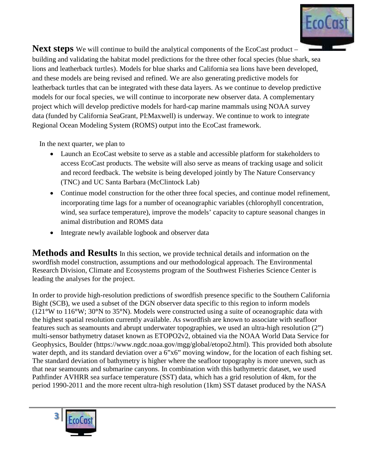

**Next steps** We will continue to build the analytical components of the EcoCast product – building and validating the habitat model predictions for the three other focal species (blue shark, sea lions and leatherback turtles). Models for blue sharks and California sea lions have been developed, and these models are being revised and refined. We are also generating predictive models for leatherback turtles that can be integrated with these data layers. As we continue to develop predictive models for our focal species, we will continue to incorporate new observer data. A complementary project which will develop predictive models for hard-cap marine mammals using NOAA survey data (funded by California SeaGrant, PI:Maxwell) is underway. We continue to work to integrate Regional Ocean Modeling System (ROMS) output into the EcoCast framework.

In the next quarter, we plan to

- Launch an EcoCast website to serve as a stable and accessible platform for stakeholders to access EcoCast products. The website will also serve as means of tracking usage and solicit and record feedback. The website is being developed jointly by The Nature Conservancy (TNC) and UC Santa Barbara (McClintock Lab)
- Continue model construction for the other three focal species, and continue model refinement, incorporating time lags for a number of oceanographic variables (chlorophyll concentration, wind, sea surface temperature), improve the models' capacity to capture seasonal changes in animal distribution and ROMS data
- Integrate newly available logbook and observer data

**Methods and Results** In this section, we provide technical details and information on the swordfish model construction, assumptions and our methodological approach. The Environmental Research Division, Climate and Ecosystems program of the Southwest Fisheries Science Center is leading the analyses for the project.

In order to provide high-resolution predictions of swordfish presence specific to the Southern California Bight (SCB), we used a subset of the DGN observer data specific to this region to inform models (121**°**W to 116**°**W; 30**°**N to 35**°**N). Models were constructed using a suite of oceanographic data with the highest spatial resolution currently available. As swordfish are known to associate with seafloor features such as seamounts and abrupt underwater topographies, we used an ultra-high resolution (2") multi-sensor bathymetry dataset known as ETOPO2v2, obtained via the NOAA World Data Service for Geophysics, Boulder (https://www.ngdc.noaa.gov/mgg/global/etopo2.html). This provided both absolute water depth, and its standard deviation over a 6"x6" moving window, for the location of each fishing set. The standard deviation of bathymetry is higher where the seafloor topography is more uneven, such as that near seamounts and submarine canyons. In combination with this bathymetric dataset, we used Pathfinder AVHRR sea surface temperature (SST) data, which has a grid resolution of 4km, for the period 1990-2011 and the more recent ultra-high resolution (1km) SST dataset produced by the NASA

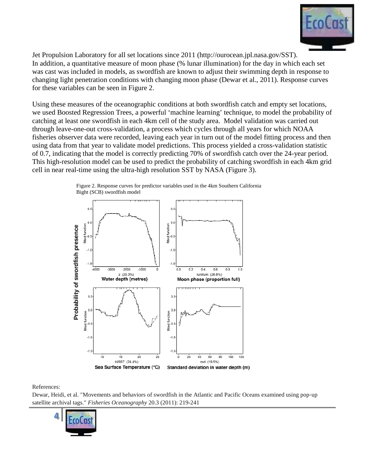

Jet Propulsion Laboratory for all set locations since 2011 (http://ourocean.jpl.nasa.gov/SST). In addition, a quantitative measure of moon phase (% lunar illumination) for the day in which each set was cast was included in models, as swordfish are known to adjust their swimming depth in response to changing light penetration conditions with changing moon phase (Dewar et al., 2011). Response curves for these variables can be seen in Figure 2.

Using these measures of the oceanographic conditions at both swordfish catch and empty set locations, we used Boosted Regression Trees, a powerful 'machine learning' technique, to model the probability of catching at least one swordfish in each 4km cell of the study area. Model validation was carried out through leave-one-out cross-validation, a process which cycles through all years for which NOAA fisheries observer data were recorded, leaving each year in turn out of the model fitting process and then using data from that year to validate model predictions. This process yielded a cross-validation statistic of 0.7, indicating that the model is correctly predicting 70% of swordfish catch over the 24-year period. This high-resolution model can be used to predict the probability of catching swordfish in each 4km grid cell in near real-time using the ultra-high resolution SST by NASA (Figure 3).



Figure 2. Response curves for predictor variables used in the 4km Southern California Bight (SCB) swordfish model

References:

Dewar, Heidi, et al. "Movements and behaviors of swordfish in the Atlantic and Pacific Oceans examined using pop-up satellite archival tags." *Fisheries Oceanography* 20.3 (2011): 219-241